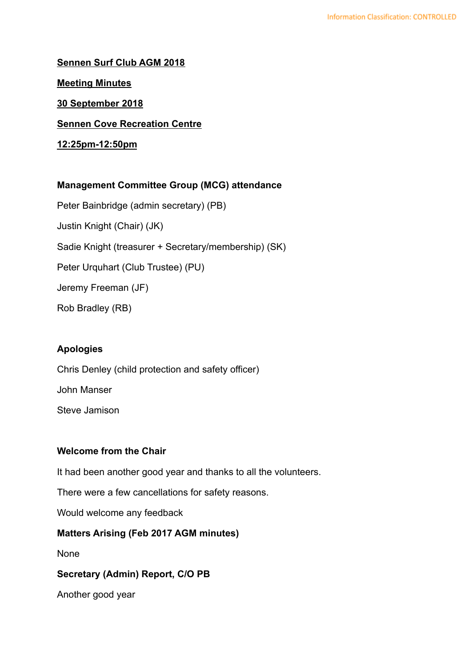# **Sennen Surf Club AGM 2018 Meeting Minutes 30 September 2018 Sennen Cove Recreation Centre 12:25pm-12:50pm**

## **Management Committee Group (MCG) attendance**

Peter Bainbridge (admin secretary) (PB) Justin Knight (Chair) (JK) Sadie Knight (treasurer + Secretary/membership) (SK) Peter Urquhart (Club Trustee) (PU) Jeremy Freeman (JF) Rob Bradley (RB)

# **Apologies**

Chris Denley (child protection and safety officer) John Manser Steve Jamison

# **Welcome from the Chair**

It had been another good year and thanks to all the volunteers.

There were a few cancellations for safety reasons.

Would welcome any feedback

## **Matters Arising (Feb 2017 AGM minutes)**

None

# **Secretary (Admin) Report, C/O PB**

Another good year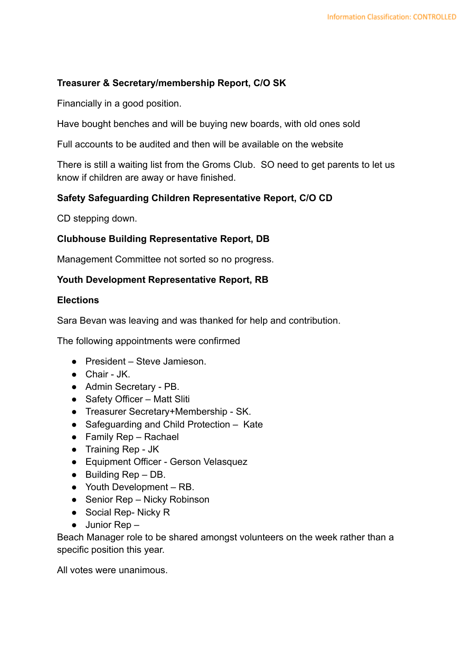## **Treasurer & Secretary/membership Report, C/O SK**

Financially in a good position.

Have bought benches and will be buying new boards, with old ones sold

Full accounts to be audited and then will be available on the website

There is still a waiting list from the Groms Club. SO need to get parents to let us know if children are away or have finished.

### **Safety Safeguarding Children Representative Report, C/O CD**

CD stepping down.

#### **Clubhouse Building Representative Report, DB**

Management Committee not sorted so no progress.

#### **Youth Development Representative Report, RB**

#### **Elections**

Sara Bevan was leaving and was thanked for help and contribution.

The following appointments were confirmed

- President Steve Jamieson.
- Chair JK.
- Admin Secretary PB.
- Safety Officer Matt Sliti
- Treasurer Secretary+Membership SK.
- Safeguarding and Child Protection Kate
- Family Rep Rachael
- Training Rep JK
- Equipment Officer Gerson Velasquez
- Building Rep DB.
- Youth Development RB.
- Senior Rep Nicky Robinson
- Social Rep- Nicky R
- Junior Rep –

Beach Manager role to be shared amongst volunteers on the week rather than a specific position this year.

All votes were unanimous.